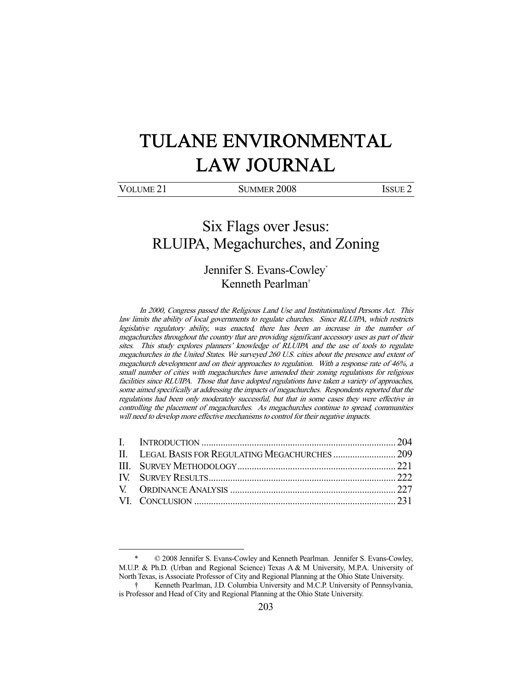# TULANE ENVIRONMENTAL LAW JOURNAL

VOLUME 21 SUMMER 2008 ISSUE 2

-

## Six Flags over Jesus: RLUIPA, Megachurches, and Zoning

### Jennifer S. Evans-Cowley\* Kenneth Pearlman†

In 2000, Congress passed the Religious Land Use and Institutionalized Persons Act. This law limits the ability of local governments to regulate churches. Since RLUIPA, which restricts legislative regulatory ability, was enacted, there has been an increase in the number of megachurches throughout the country that are providing significant accessory uses as part of their sites. This study explores planners' knowledge of RLUIPA and the use of tools to regulate megachurches in the United States. We surveyed 260 U.S. cities about the presence and extent of megachurch development and on their approaches to regulation. With a response rate of 46%, a small number of cities with megachurches have amended their zoning regulations for religious facilities since RLUIPA. Those that have adopted regulations have taken a variety of approaches, some aimed specifically at addressing the impacts of megachurches. Respondents reported that the regulations had been only moderately successful, but that in some cases they were effective in controlling the placement of megachurches. As megachurches continue to spread, communities will need to develop more effective mechanisms to control for their negative impacts.

 <sup>\* © 2008</sup> Jennifer S. Evans-Cowley and Kenneth Pearlman. Jennifer S. Evans-Cowley, M.U.P. & Ph.D. (Urban and Regional Science) Texas A & M University, M.P.A. University of North Texas, is Associate Professor of City and Regional Planning at the Ohio State University.

 <sup>†</sup> Kenneth Pearlman, J.D. Columbia University and M.C.P. University of Pennsylvania, is Professor and Head of City and Regional Planning at the Ohio State University.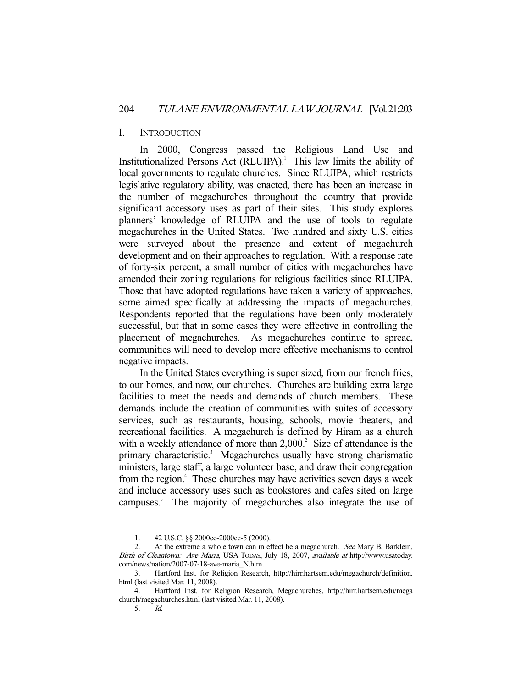#### I. INTRODUCTION

 In 2000, Congress passed the Religious Land Use and Institutionalized Persons Act (RLUIPA).<sup>1</sup> This law limits the ability of local governments to regulate churches. Since RLUIPA, which restricts legislative regulatory ability, was enacted, there has been an increase in the number of megachurches throughout the country that provide significant accessory uses as part of their sites. This study explores planners' knowledge of RLUIPA and the use of tools to regulate megachurches in the United States. Two hundred and sixty U.S. cities were surveyed about the presence and extent of megachurch development and on their approaches to regulation. With a response rate of forty-six percent, a small number of cities with megachurches have amended their zoning regulations for religious facilities since RLUIPA. Those that have adopted regulations have taken a variety of approaches, some aimed specifically at addressing the impacts of megachurches. Respondents reported that the regulations have been only moderately successful, but that in some cases they were effective in controlling the placement of megachurches. As megachurches continue to spread, communities will need to develop more effective mechanisms to control negative impacts.

 In the United States everything is super sized, from our french fries, to our homes, and now, our churches. Churches are building extra large facilities to meet the needs and demands of church members. These demands include the creation of communities with suites of accessory services, such as restaurants, housing, schools, movie theaters, and recreational facilities. A megachurch is defined by Hiram as a church with a weekly attendance of more than  $2,000$ .<sup>2</sup> Size of attendance is the primary characteristic.<sup>3</sup> Megachurches usually have strong charismatic ministers, large staff, a large volunteer base, and draw their congregation from the region.<sup>4</sup> These churches may have activities seven days a week and include accessory uses such as bookstores and cafes sited on large campuses.<sup>5</sup> The majority of megachurches also integrate the use of

<sup>1. 42</sup> U.S.C. §§ 2000cc-2000cc-5 (2000).

 <sup>2.</sup> At the extreme a whole town can in effect be a megachurch. See Mary B. Barklein, Birth of Cleantown: Ave Maria, USA TODAY, July 18, 2007, available at http://www.usatoday. com/news/nation/2007-07-18-ave-maria\_N.htm.

 <sup>3.</sup> Hartford Inst. for Religion Research, http://hirr.hartsem.edu/megachurch/definition. html (last visited Mar. 11, 2008).

 <sup>4.</sup> Hartford Inst. for Religion Research, Megachurches, http://hirr.hartsem.edu/mega church/megachurches.html (last visited Mar. 11, 2008).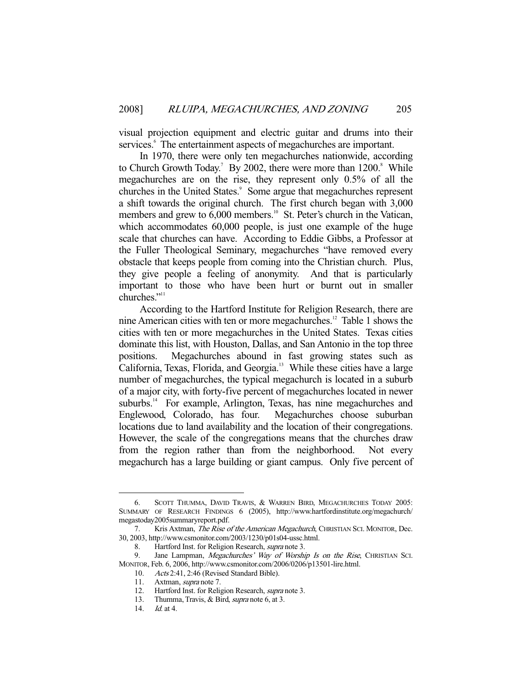visual projection equipment and electric guitar and drums into their services.<sup>6</sup> The entertainment aspects of megachurches are important.

 In 1970, there were only ten megachurches nationwide, according to Church Growth Today.<sup>7</sup> By 2002, there were more than  $1200$ .<sup>8</sup> While megachurches are on the rise, they represent only 0.5% of all the churches in the United States.<sup>9</sup> Some argue that megachurches represent a shift towards the original church. The first church began with 3,000 members and grew to  $6,000$  members.<sup>10</sup> St. Peter's church in the Vatican, which accommodates 60,000 people, is just one example of the huge scale that churches can have. According to Eddie Gibbs, a Professor at the Fuller Theological Seminary, megachurches "have removed every obstacle that keeps people from coming into the Christian church. Plus, they give people a feeling of anonymity. And that is particularly important to those who have been hurt or burnt out in smaller churches."<sup>11</sup>

 According to the Hartford Institute for Religion Research, there are nine American cities with ten or more megachurches.<sup>12</sup> Table 1 shows the cities with ten or more megachurches in the United States. Texas cities dominate this list, with Houston, Dallas, and San Antonio in the top three positions. Megachurches abound in fast growing states such as California, Texas, Florida, and Georgia.13 While these cities have a large number of megachurches, the typical megachurch is located in a suburb of a major city, with forty-five percent of megachurches located in newer suburbs.<sup>14</sup> For example, Arlington, Texas, has nine megachurches and Englewood, Colorado, has four. Megachurches choose suburban locations due to land availability and the location of their congregations. However, the scale of the congregations means that the churches draw from the region rather than from the neighborhood. Not every megachurch has a large building or giant campus. Only five percent of

 <sup>6.</sup> SCOTT THUMMA, DAVID TRAVIS, & WARREN BIRD, MEGACHURCHES TODAY 2005: SUMMARY OF RESEARCH FINDINGS 6 (2005), http://www.hartfordinstitute.org/megachurch/ megastoday2005summaryreport.pdf.

<sup>7.</sup> Kris Axtman, The Rise of the American Megachurch, CHRISTIAN SCI. MONITOR, Dec. 30, 2003, http://www.csmonitor.com/2003/1230/p01s04-ussc.html.

<sup>8.</sup> Hartford Inst. for Religion Research, *supra* note 3.

<sup>9.</sup> Jane Lampman, Megachurches' Way of Worship Is on the Rise, CHRISTIAN SCI. MONITOR, Feb. 6, 2006, http://www.csmonitor.com/2006/0206/p13501-lire.html.

<sup>10.</sup> Acts 2:41, 2:46 (Revised Standard Bible).<br>11. Axtman, *supra* note 7.

Axtman, *supra* note 7.

<sup>12.</sup> Hartford Inst. for Religion Research, *supra* note 3.<br>13. Thumma, Travis. & Bird. *supra* note 6. at 3.

Thumma, Travis, & Bird, *supra* note 6, at 3.

 <sup>14.</sup> Id. at 4.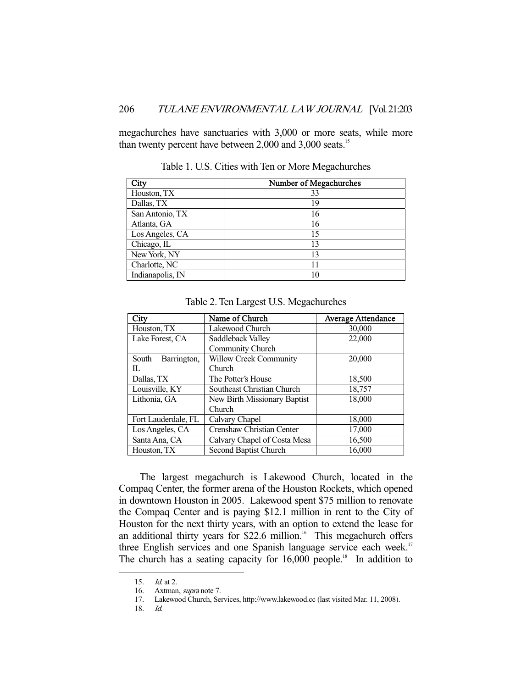megachurches have sanctuaries with 3,000 or more seats, while more than twenty percent have between 2,000 and 3,000 seats.<sup>15</sup>

| City             | Number of Megachurches |
|------------------|------------------------|
| Houston, TX      | 33                     |
| Dallas, TX       | 19                     |
| San Antonio, TX  | 16                     |
| Atlanta, GA      | 16                     |
| Los Angeles, CA  | 15                     |
| Chicago, IL      | 13                     |
| New York, NY     | 13                     |
| Charlotte, NC    | 11                     |
| Indianapolis, IN | 10                     |

Table 1. U.S. Cities with Ten or More Megachurches

| City                 | Name of Church               | <b>Average Attendance</b> |
|----------------------|------------------------------|---------------------------|
| Houston, TX          | Lakewood Church              | 30,000                    |
| Lake Forest, CA      | Saddleback Valley            | 22,000                    |
|                      | Community Church             |                           |
| Barrington,<br>South | Willow Creek Community       | 20,000                    |
| IL                   | Church                       |                           |
| Dallas, TX           | The Potter's House           | 18,500                    |
| Louisville, KY       | Southeast Christian Church   | 18,757                    |
| Lithonia, GA         | New Birth Missionary Baptist | 18,000                    |
|                      | Church                       |                           |
| Fort Lauderdale, FL  | Calvary Chapel               | 18,000                    |
| Los Angeles, CA      | Crenshaw Christian Center    | 17,000                    |
| Santa Ana, CA        | Calvary Chapel of Costa Mesa | 16,500                    |
| Houston, TX          | Second Baptist Church        | 16,000                    |

Table 2. Ten Largest U.S. Megachurches

 The largest megachurch is Lakewood Church, located in the Compaq Center, the former arena of the Houston Rockets, which opened in downtown Houston in 2005. Lakewood spent \$75 million to renovate the Compaq Center and is paying \$12.1 million in rent to the City of Houston for the next thirty years, with an option to extend the lease for an additional thirty years for \$22.6 million.<sup>16</sup> This megachurch offers three English services and one Spanish language service each week.<sup>17</sup> The church has a seating capacity for  $16,000$  people.<sup>18</sup> In addition to

 <sup>15.</sup> Id. at 2.

 <sup>16.</sup> Axtman, supra note 7.

 <sup>17.</sup> Lakewood Church, Services, http://www.lakewood.cc (last visited Mar. 11, 2008).

 $Id.$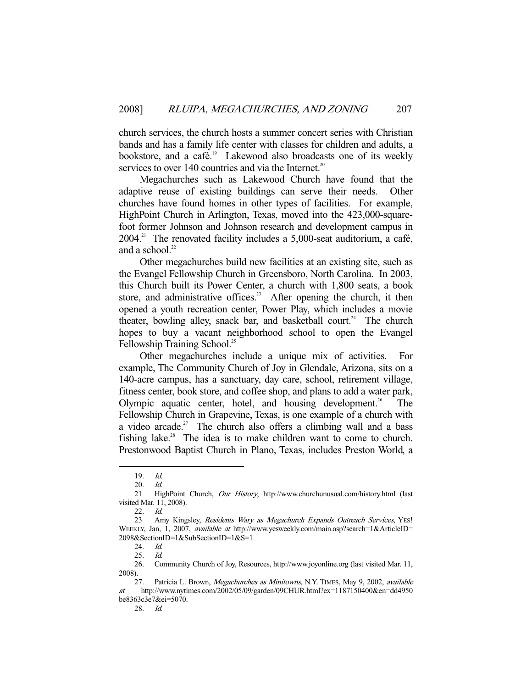church services, the church hosts a summer concert series with Christian bands and has a family life center with classes for children and adults, a bookstore, and a café.<sup>19</sup> Lakewood also broadcasts one of its weekly services to over  $140$  countries and via the Internet.<sup>20</sup>

 Megachurches such as Lakewood Church have found that the adaptive reuse of existing buildings can serve their needs. Other churches have found homes in other types of facilities. For example, HighPoint Church in Arlington, Texas, moved into the 423,000-squarefoot former Johnson and Johnson research and development campus in  $2004$ <sup>21</sup>. The renovated facility includes a 5,000-seat auditorium, a café, and a school. $22$ 

 Other megachurches build new facilities at an existing site, such as the Evangel Fellowship Church in Greensboro, North Carolina. In 2003, this Church built its Power Center, a church with 1,800 seats, a book store, and administrative offices.<sup>23</sup> After opening the church, it then opened a youth recreation center, Power Play, which includes a movie theater, bowling alley, snack bar, and basketball court.<sup>24</sup> The church hopes to buy a vacant neighborhood school to open the Evangel Fellowship Training School.<sup>25</sup>

 Other megachurches include a unique mix of activities. For example, The Community Church of Joy in Glendale, Arizona, sits on a 140-acre campus, has a sanctuary, day care, school, retirement village, fitness center, book store, and coffee shop, and plans to add a water park, Olympic aquatic center, hotel, and housing development.<sup>26</sup> The Fellowship Church in Grapevine, Texas, is one example of a church with a video arcade.<sup>27</sup> The church also offers a climbing wall and a bass fishing lake.<sup>28</sup> The idea is to make children want to come to church. Prestonwood Baptist Church in Plano, Texas, includes Preston World, a

 <sup>19.</sup> Id.

 <sup>20.</sup> Id.

<sup>21</sup> HighPoint Church, Our History, http://www.churchunusual.com/history.html (last visited Mar. 11, 2008).

 <sup>22.</sup> Id.

<sup>23</sup> Amy Kingsley, Residents Wary as Megachurch Expands Outreach Services, YES! WEEKLY, Jan, 1, 2007, available at http://www.yesweekly.com/main.asp?search=1&ArticleID= 2098&SectionID=1&SubSectionID=1&S=1.

 <sup>24.</sup> Id.

 <sup>25.</sup> Id.

 <sup>26.</sup> Community Church of Joy, Resources, http://www.joyonline.org (last visited Mar. 11, 2008).

<sup>27.</sup> Patricia L. Brown, Megachurches as Minitowns, N.Y. TIMES, May 9, 2002, available at http://www.nytimes.com/2002/05/09/garden/09CHUR.html?ex=1187150400&en=dd4950 be8363c3e7&ei=5070.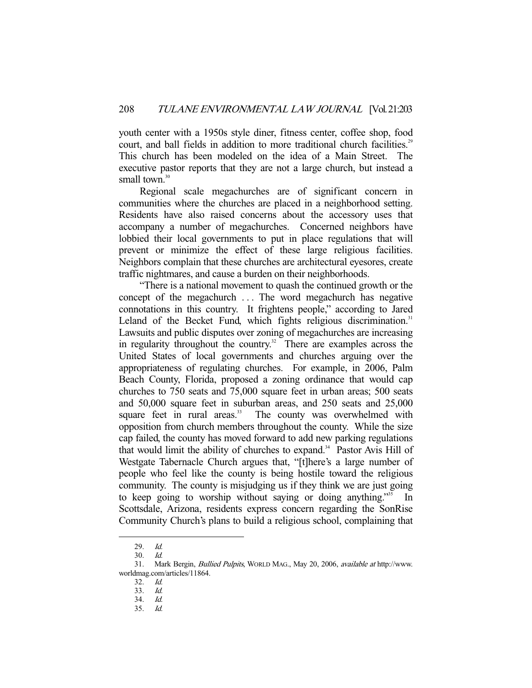youth center with a 1950s style diner, fitness center, coffee shop, food court, and ball fields in addition to more traditional church facilities.<sup>29</sup> This church has been modeled on the idea of a Main Street. The executive pastor reports that they are not a large church, but instead a small town. $30$ 

 Regional scale megachurches are of significant concern in communities where the churches are placed in a neighborhood setting. Residents have also raised concerns about the accessory uses that accompany a number of megachurches. Concerned neighbors have lobbied their local governments to put in place regulations that will prevent or minimize the effect of these large religious facilities. Neighbors complain that these churches are architectural eyesores, create traffic nightmares, and cause a burden on their neighborhoods.

 "There is a national movement to quash the continued growth or the concept of the megachurch . . . The word megachurch has negative connotations in this country. It frightens people," according to Jared Leland of the Becket Fund, which fights religious discrimination.<sup>31</sup> Lawsuits and public disputes over zoning of megachurches are increasing in regularity throughout the country.<sup>32</sup> There are examples across the United States of local governments and churches arguing over the appropriateness of regulating churches. For example, in 2006, Palm Beach County, Florida, proposed a zoning ordinance that would cap churches to 750 seats and 75,000 square feet in urban areas; 500 seats and 50,000 square feet in suburban areas, and 250 seats and 25,000 square feet in rural areas.<sup>33</sup> The county was overwhelmed with opposition from church members throughout the county. While the size cap failed, the county has moved forward to add new parking regulations that would limit the ability of churches to expand.<sup>34</sup> Pastor Avis Hill of Westgate Tabernacle Church argues that, "[t]here's a large number of people who feel like the county is being hostile toward the religious community. The county is misjudging us if they think we are just going to keep going to worship without saying or doing anything."<sup>35</sup> In Scottsdale, Arizona, residents express concern regarding the SonRise Community Church's plans to build a religious school, complaining that

 <sup>29.</sup> Id.

 <sup>30.</sup> Id.

 <sup>31.</sup> Mark Bergin, Bullied Pulpits, WORLD MAG., May 20, 2006, available at http://www. worldmag.com/articles/11864.

 <sup>32.</sup> Id.

 <sup>33.</sup> Id.

 <sup>34.</sup> Id.

 <sup>35.</sup> Id.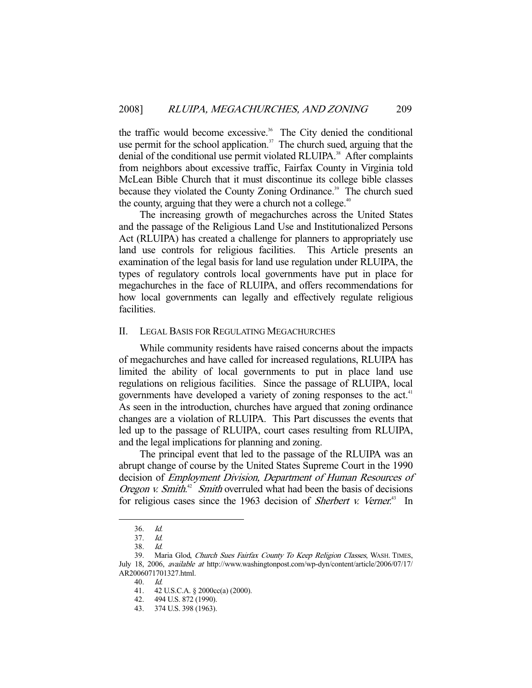the traffic would become excessive.<sup>36</sup> The City denied the conditional use permit for the school application.<sup>37</sup> The church sued, arguing that the denial of the conditional use permit violated RLUIPA.<sup>38</sup> After complaints from neighbors about excessive traffic, Fairfax County in Virginia told McLean Bible Church that it must discontinue its college bible classes because they violated the County Zoning Ordinance.<sup>39</sup> The church sued the county, arguing that they were a church not a college.<sup>40</sup>

 The increasing growth of megachurches across the United States and the passage of the Religious Land Use and Institutionalized Persons Act (RLUIPA) has created a challenge for planners to appropriately use land use controls for religious facilities. This Article presents an examination of the legal basis for land use regulation under RLUIPA, the types of regulatory controls local governments have put in place for megachurches in the face of RLUIPA, and offers recommendations for how local governments can legally and effectively regulate religious facilities.

#### II. LEGAL BASIS FOR REGULATING MEGACHURCHES

 While community residents have raised concerns about the impacts of megachurches and have called for increased regulations, RLUIPA has limited the ability of local governments to put in place land use regulations on religious facilities. Since the passage of RLUIPA, local governments have developed a variety of zoning responses to the act.<sup>41</sup> As seen in the introduction, churches have argued that zoning ordinance changes are a violation of RLUIPA. This Part discusses the events that led up to the passage of RLUIPA, court cases resulting from RLUIPA, and the legal implications for planning and zoning.

 The principal event that led to the passage of the RLUIPA was an abrupt change of course by the United States Supreme Court in the 1990 decision of *Employment Division, Department of Human Resources of Oregon v. Smith*.<sup>42</sup> Smith overruled what had been the basis of decisions for religious cases since the 1963 decision of *Sherbert v. Verner*.<sup>43</sup> In

 <sup>36.</sup> Id.

 <sup>37.</sup> Id.

 <sup>38.</sup> Id.

<sup>39.</sup> Maria Glod, Church Sues Fairfax County To Keep Religion Classes, WASH. TIMES, July 18, 2006, available at http://www.washingtonpost.com/wp-dyn/content/article/2006/07/17/ AR2006071701327.html.

 <sup>40.</sup> Id.

 <sup>41. 42</sup> U.S.C.A. § 2000cc(a) (2000).

 <sup>42. 494</sup> U.S. 872 (1990).

 <sup>43. 374</sup> U.S. 398 (1963).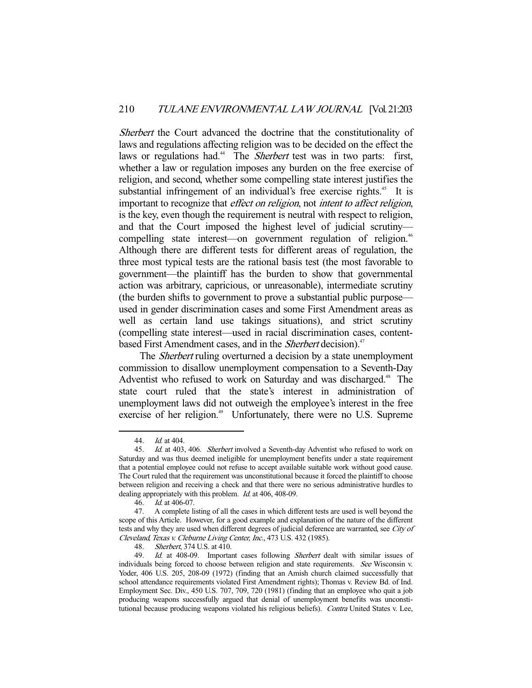Sherbert the Court advanced the doctrine that the constitutionality of laws and regulations affecting religion was to be decided on the effect the laws or regulations had.<sup>44</sup> The Sherbert test was in two parts: first, whether a law or regulation imposes any burden on the free exercise of religion, and second, whether some compelling state interest justifies the substantial infringement of an individual's free exercise rights.<sup>45</sup> It is important to recognize that effect on religion, not intent to affect religion, is the key, even though the requirement is neutral with respect to religion, and that the Court imposed the highest level of judicial scrutiny compelling state interest—on government regulation of religion.<sup>46</sup> Although there are different tests for different areas of regulation, the three most typical tests are the rational basis test (the most favorable to government—the plaintiff has the burden to show that governmental action was arbitrary, capricious, or unreasonable), intermediate scrutiny (the burden shifts to government to prove a substantial public purpose used in gender discrimination cases and some First Amendment areas as well as certain land use takings situations), and strict scrutiny (compelling state interest—used in racial discrimination cases, contentbased First Amendment cases, and in the *Sherbert* decision).<sup>47</sup>

The *Sherbert* ruling overturned a decision by a state unemployment commission to disallow unemployment compensation to a Seventh-Day Adventist who refused to work on Saturday and was discharged.<sup>48</sup> The state court ruled that the state's interest in administration of unemployment laws did not outweigh the employee's interest in the free exercise of her religion.<sup>49</sup> Unfortunately, there were no U.S. Supreme

 <sup>44.</sup> Id. at 404.

 <sup>45.</sup> Id. at 403, 406. Sherbert involved a Seventh-day Adventist who refused to work on Saturday and was thus deemed ineligible for unemployment benefits under a state requirement that a potential employee could not refuse to accept available suitable work without good cause. The Court ruled that the requirement was unconstitutional because it forced the plaintiff to choose between religion and receiving a check and that there were no serious administrative hurdles to dealing appropriately with this problem. *Id.* at 406, 408-09.

 <sup>46.</sup> Id. at 406-07.

 <sup>47.</sup> A complete listing of all the cases in which different tests are used is well beyond the scope of this Article. However, for a good example and explanation of the nature of the different tests and why they are used when different degrees of judicial deference are warranted, see City of Cleveland, Texas v. Cleburne Living Center, Inc., 473 U.S. 432 (1985).

 <sup>48.</sup> Sherbert, 374 U.S. at 410.

<sup>49.</sup> Id. at 408-09. Important cases following Sherbert dealt with similar issues of individuals being forced to choose between religion and state requirements. See Wisconsin v. Yoder, 406 U.S. 205, 208-09 (1972) (finding that an Amish church claimed successfully that school attendance requirements violated First Amendment rights); Thomas v. Review Bd. of Ind. Employment Sec. Div., 450 U.S. 707, 709, 720 (1981) (finding that an employee who quit a job producing weapons successfully argued that denial of unemployment benefits was unconstitutional because producing weapons violated his religious beliefs). Contra United States v. Lee,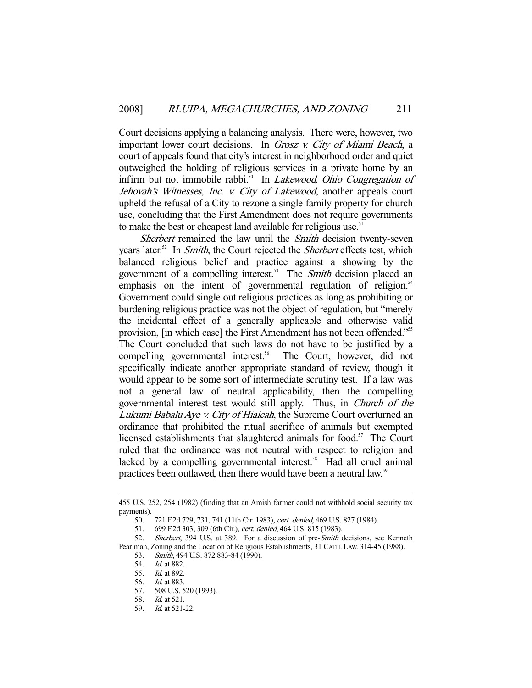Court decisions applying a balancing analysis. There were, however, two important lower court decisions. In Grosz v. City of Miami Beach, a court of appeals found that city's interest in neighborhood order and quiet outweighed the holding of religious services in a private home by an infirm but not immobile rabbi.<sup>50</sup> In *Lakewood*, *Ohio Congregation of* Jehovah's Witnesses, Inc. v. City of Lakewood, another appeals court upheld the refusal of a City to rezone a single family property for church use, concluding that the First Amendment does not require governments to make the best or cheapest land available for religious use.<sup>51</sup>

Sherbert remained the law until the Smith decision twenty-seven years later.<sup>52</sup> In *Smith*, the Court rejected the *Sherbert* effects test, which balanced religious belief and practice against a showing by the government of a compelling interest.<sup>53</sup> The *Smith* decision placed an emphasis on the intent of governmental regulation of religion.<sup>54</sup> Government could single out religious practices as long as prohibiting or burdening religious practice was not the object of regulation, but "merely the incidental effect of a generally applicable and otherwise valid provision, [in which case] the First Amendment has not been offended."<sup>555</sup> The Court concluded that such laws do not have to be justified by a compelling governmental interest.<sup>56</sup> The Court, however, did not specifically indicate another appropriate standard of review, though it would appear to be some sort of intermediate scrutiny test. If a law was not a general law of neutral applicability, then the compelling governmental interest test would still apply. Thus, in Church of the Lukumi Babalu Aye v. City of Hialeah, the Supreme Court overturned an ordinance that prohibited the ritual sacrifice of animals but exempted licensed establishments that slaughtered animals for food.<sup>57</sup> The Court ruled that the ordinance was not neutral with respect to religion and lacked by a compelling governmental interest.<sup>58</sup> Had all cruel animal practices been outlawed, then there would have been a neutral law.<sup>59</sup>

 52. Sherbert, 394 U.S. at 389. For a discussion of pre-Smith decisions, see Kenneth Pearlman, Zoning and the Location of Religious Establishments, 31 CATH. LAW. 314-45 (1988).

-

56. Id. at 883.

<sup>455</sup> U.S. 252, 254 (1982) (finding that an Amish farmer could not withhold social security tax payments).

 <sup>50. 721</sup> F.2d 729, 731, 741 (11th Cir. 1983), cert. denied, 469 U.S. 827 (1984).

 <sup>51. 699</sup> F.2d 303, 309 (6th Cir.), cert. denied, 464 U.S. 815 (1983).

<sup>53.</sup> Smith, 494 U.S. 872 883-84 (1990).

<sup>54.</sup> *Id.* at 882.

 <sup>55.</sup> Id. at 892.

 <sup>57. 508</sup> U.S. 520 (1993).

 <sup>58.</sup> Id. at 521.

 <sup>59.</sup> Id. at 521-22.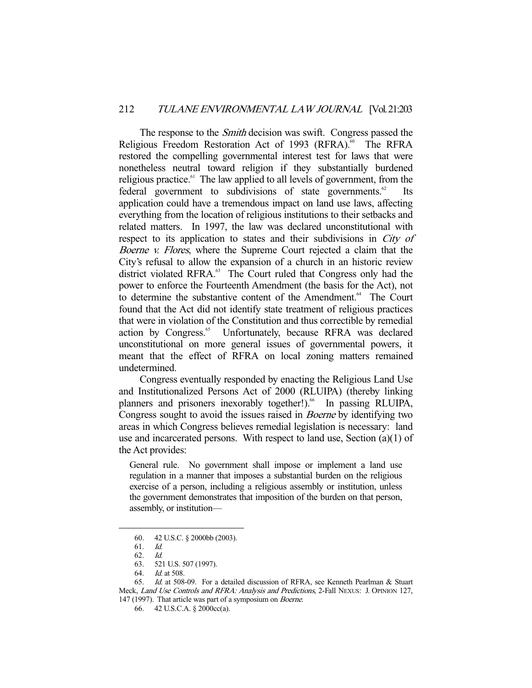The response to the *Smith* decision was swift. Congress passed the Religious Freedom Restoration Act of 1993 (RFRA).<sup>60</sup> The RFRA restored the compelling governmental interest test for laws that were nonetheless neutral toward religion if they substantially burdened religious practice.<sup>61</sup> The law applied to all levels of government, from the federal government to subdivisions of state governments. $62$  Its application could have a tremendous impact on land use laws, affecting everything from the location of religious institutions to their setbacks and related matters. In 1997, the law was declared unconstitutional with respect to its application to states and their subdivisions in City of Boerne v. Flores, where the Supreme Court rejected a claim that the City's refusal to allow the expansion of a church in an historic review district violated RFRA.<sup>63</sup> The Court ruled that Congress only had the power to enforce the Fourteenth Amendment (the basis for the Act), not to determine the substantive content of the Amendment.<sup>64</sup> The Court found that the Act did not identify state treatment of religious practices that were in violation of the Constitution and thus correctible by remedial action by Congress.<sup>65</sup> Unfortunately, because RFRA was declared unconstitutional on more general issues of governmental powers, it meant that the effect of RFRA on local zoning matters remained undetermined.

 Congress eventually responded by enacting the Religious Land Use and Institutionalized Persons Act of 2000 (RLUIPA) (thereby linking planners and prisoners inexorably together!).<sup>66</sup> In passing RLUIPA, Congress sought to avoid the issues raised in Boerne by identifying two areas in which Congress believes remedial legislation is necessary: land use and incarcerated persons. With respect to land use, Section  $(a)(1)$  of the Act provides:

General rule. No government shall impose or implement a land use regulation in a manner that imposes a substantial burden on the religious exercise of a person, including a religious assembly or institution, unless the government demonstrates that imposition of the burden on that person, assembly, or institution—

 <sup>60. 42</sup> U.S.C. § 2000bb (2003).

 <sup>61.</sup> Id.

 <sup>62.</sup> Id.

 <sup>63. 521</sup> U.S. 507 (1997).

 <sup>64.</sup> Id. at 508.

 <sup>65.</sup> Id. at 508-09. For a detailed discussion of RFRA, see Kenneth Pearlman & Stuart Meck, Land Use Controls and RFRA: Analysis and Predictions, 2-Fall NEXUS: J. OPINION 127, 147 (1997). That article was part of a symposium on Boerne.

 <sup>66. 42</sup> U.S.C.A. § 2000cc(a).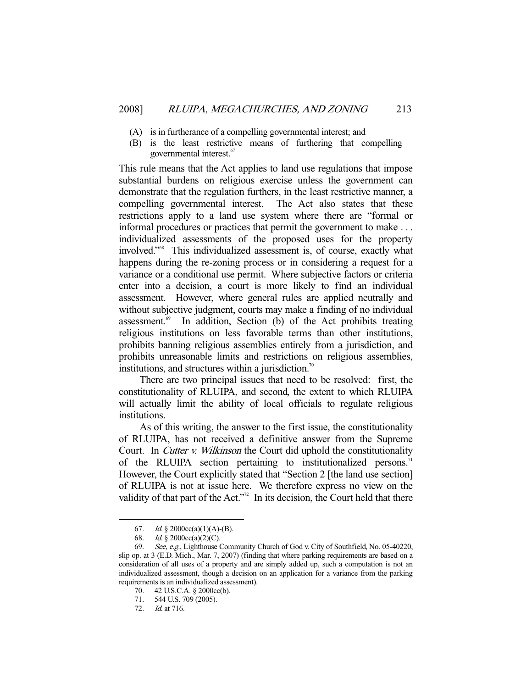- (A) is in furtherance of a compelling governmental interest; and
- (B) is the least restrictive means of furthering that compelling governmental interest.<sup>67</sup>

This rule means that the Act applies to land use regulations that impose substantial burdens on religious exercise unless the government can demonstrate that the regulation furthers, in the least restrictive manner, a compelling governmental interest. The Act also states that these restrictions apply to a land use system where there are "formal or informal procedures or practices that permit the government to make . . . individualized assessments of the proposed uses for the property involved."68 This individualized assessment is, of course, exactly what happens during the re-zoning process or in considering a request for a variance or a conditional use permit. Where subjective factors or criteria enter into a decision, a court is more likely to find an individual assessment. However, where general rules are applied neutrally and without subjective judgment, courts may make a finding of no individual assessment.<sup>69</sup> In addition, Section (b) of the Act prohibits treating religious institutions on less favorable terms than other institutions, prohibits banning religious assemblies entirely from a jurisdiction, and prohibits unreasonable limits and restrictions on religious assemblies, institutions, and structures within a jurisdiction.<sup>70</sup>

There are two principal issues that need to be resolved: first, the constitutionality of RLUIPA, and second, the extent to which RLUIPA will actually limit the ability of local officials to regulate religious institutions.

 As of this writing, the answer to the first issue, the constitutionality of RLUIPA, has not received a definitive answer from the Supreme Court. In *Cutter v. Wilkinson* the Court did uphold the constitutionality of the RLUIPA section pertaining to institutionalized persons.<sup>71</sup> However, the Court explicitly stated that "Section 2 [the land use section] of RLUIPA is not at issue here. We therefore express no view on the validity of that part of the Act."<sup>72</sup> In its decision, the Court held that there

<sup>67.</sup> *Id.* § 2000cc(a)(1)(A)-(B).

<sup>68.</sup> *Id.* § 2000cc(a)(2)(C).

 <sup>69.</sup> See, e.g., Lighthouse Community Church of God v. City of Southfield, No. 05-40220, slip op. at 3 (E.D. Mich., Mar. 7, 2007) (finding that where parking requirements are based on a consideration of all uses of a property and are simply added up, such a computation is not an individualized assessment, though a decision on an application for a variance from the parking requirements is an individualized assessment).

 <sup>70. 42</sup> U.S.C.A. § 2000cc(b).

 <sup>71. 544</sup> U.S. 709 (2005).

 <sup>72.</sup> Id. at 716.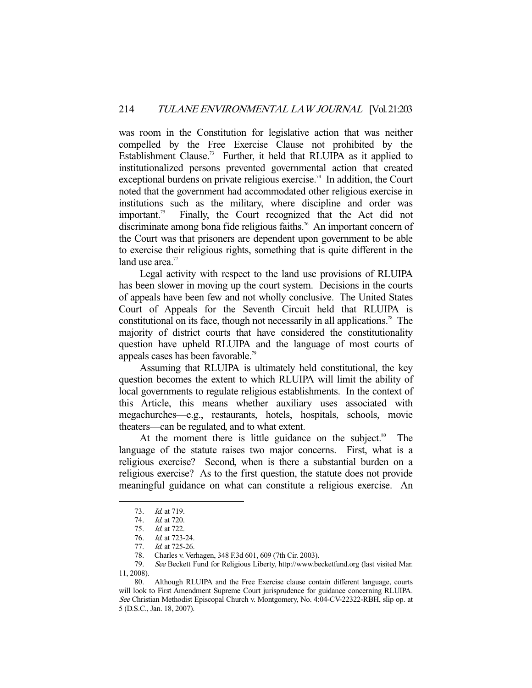was room in the Constitution for legislative action that was neither compelled by the Free Exercise Clause not prohibited by the Establishment Clause.<sup>73</sup> Further, it held that RLUIPA as it applied to institutionalized persons prevented governmental action that created exceptional burdens on private religious exercise.<sup>74</sup> In addition, the Court noted that the government had accommodated other religious exercise in institutions such as the military, where discipline and order was important.<sup>75</sup> Finally, the Court recognized that the Act did not discriminate among bona fide religious faiths.<sup>76</sup> An important concern of the Court was that prisoners are dependent upon government to be able to exercise their religious rights, something that is quite different in the land use area. $77$ 

 Legal activity with respect to the land use provisions of RLUIPA has been slower in moving up the court system. Decisions in the courts of appeals have been few and not wholly conclusive. The United States Court of Appeals for the Seventh Circuit held that RLUIPA is constitutional on its face, though not necessarily in all applications.<sup>78</sup> The majority of district courts that have considered the constitutionality question have upheld RLUIPA and the language of most courts of appeals cases has been favorable.79

 Assuming that RLUIPA is ultimately held constitutional, the key question becomes the extent to which RLUIPA will limit the ability of local governments to regulate religious establishments. In the context of this Article, this means whether auxiliary uses associated with megachurches—e.g., restaurants, hotels, hospitals, schools, movie theaters—can be regulated, and to what extent.

At the moment there is little guidance on the subject.<sup>80</sup> The language of the statute raises two major concerns. First, what is a religious exercise? Second, when is there a substantial burden on a religious exercise? As to the first question, the statute does not provide meaningful guidance on what can constitute a religious exercise. An

 <sup>73.</sup> Id. at 719.

 <sup>74.</sup> Id. at 720.

 <sup>75.</sup> Id. at 722.

 <sup>76.</sup> Id. at 723-24.

<sup>77.</sup> *Id.* at 725-26.

 <sup>78.</sup> Charles v. Verhagen, 348 F.3d 601, 609 (7th Cir. 2003).

<sup>79.</sup> See Beckett Fund for Religious Liberty, http://www.becketfund.org (last visited Mar. 11, 2008).

 <sup>80.</sup> Although RLUIPA and the Free Exercise clause contain different language, courts will look to First Amendment Supreme Court jurisprudence for guidance concerning RLUIPA. See Christian Methodist Episcopal Church v. Montgomery, No. 4:04-CV-22322-RBH, slip op. at 5 (D.S.C., Jan. 18, 2007).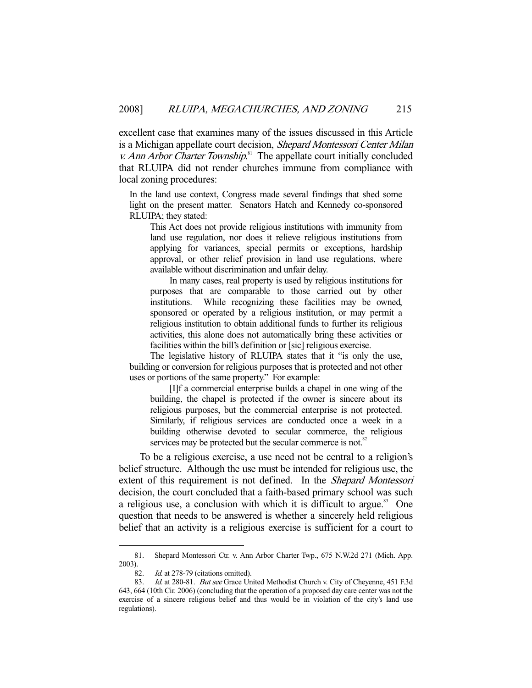excellent case that examines many of the issues discussed in this Article is a Michigan appellate court decision, Shepard Montessori Center Milan  $v.$  Ann Arbor Charter Township. $81$ <sup>th</sup> The appellate court initially concluded that RLUIPA did not render churches immune from compliance with local zoning procedures:

In the land use context, Congress made several findings that shed some light on the present matter. Senators Hatch and Kennedy co-sponsored RLUIPA; they stated:

This Act does not provide religious institutions with immunity from land use regulation, nor does it relieve religious institutions from applying for variances, special permits or exceptions, hardship approval, or other relief provision in land use regulations, where available without discrimination and unfair delay.

 In many cases, real property is used by religious institutions for purposes that are comparable to those carried out by other institutions. While recognizing these facilities may be owned, sponsored or operated by a religious institution, or may permit a religious institution to obtain additional funds to further its religious activities, this alone does not automatically bring these activities or facilities within the bill's definition or [sic] religious exercise.

 The legislative history of RLUIPA states that it "is only the use, building or conversion for religious purposes that is protected and not other uses or portions of the same property." For example:

 [I]f a commercial enterprise builds a chapel in one wing of the building, the chapel is protected if the owner is sincere about its religious purposes, but the commercial enterprise is not protected. Similarly, if religious services are conducted once a week in a building otherwise devoted to secular commerce, the religious services may be protected but the secular commerce is not.<sup>82</sup>

 To be a religious exercise, a use need not be central to a religion's belief structure. Although the use must be intended for religious use, the extent of this requirement is not defined. In the *Shepard Montessori* decision, the court concluded that a faith-based primary school was such a religious use, a conclusion with which it is difficult to argue.<sup>83</sup> One question that needs to be answered is whether a sincerely held religious belief that an activity is a religious exercise is sufficient for a court to

 <sup>81.</sup> Shepard Montessori Ctr. v. Ann Arbor Charter Twp., 675 N.W.2d 271 (Mich. App. 2003).

<sup>82.</sup> Id. at 278-79 (citations omitted).

<sup>83.</sup> Id. at 280-81. But see Grace United Methodist Church v. City of Cheyenne, 451 F.3d 643, 664 (10th Cir. 2006) (concluding that the operation of a proposed day care center was not the exercise of a sincere religious belief and thus would be in violation of the city's land use regulations).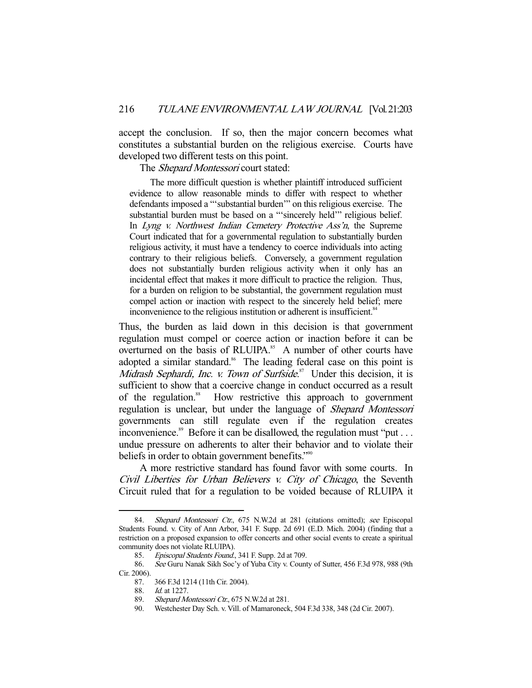accept the conclusion. If so, then the major concern becomes what constitutes a substantial burden on the religious exercise. Courts have developed two different tests on this point.

The *Shepard Montessori* court stated:

 The more difficult question is whether plaintiff introduced sufficient evidence to allow reasonable minds to differ with respect to whether defendants imposed a "'substantial burden'" on this religious exercise. The substantial burden must be based on a "'sincerely held'" religious belief. In Lyng v. Northwest Indian Cemetery Protective Ass'n, the Supreme Court indicated that for a governmental regulation to substantially burden religious activity, it must have a tendency to coerce individuals into acting contrary to their religious beliefs. Conversely, a government regulation does not substantially burden religious activity when it only has an incidental effect that makes it more difficult to practice the religion. Thus, for a burden on religion to be substantial, the government regulation must compel action or inaction with respect to the sincerely held belief; mere inconvenience to the religious institution or adherent is insufficient.<sup>84</sup>

Thus, the burden as laid down in this decision is that government regulation must compel or coerce action or inaction before it can be overturned on the basis of RLUIPA.<sup>85</sup> A number of other courts have adopted a similar standard.<sup>86</sup> The leading federal case on this point is Midrash Sephardi, Inc. v. Town of Surfside.<sup>87</sup> Under this decision, it is sufficient to show that a coercive change in conduct occurred as a result of the regulation.<sup>88</sup> How restrictive this approach to government regulation is unclear, but under the language of Shepard Montessori governments can still regulate even if the regulation creates inconvenience.<sup>89</sup> Before it can be disallowed, the regulation must "put . . . undue pressure on adherents to alter their behavior and to violate their beliefs in order to obtain government benefits."<sup>90</sup>

 A more restrictive standard has found favor with some courts. In Civil Liberties for Urban Believers v. City of Chicago, the Seventh Circuit ruled that for a regulation to be voided because of RLUIPA it

<sup>84.</sup> Shepard Montessori Ctr., 675 N.W.2d at 281 (citations omitted); see Episcopal Students Found. v. City of Ann Arbor, 341 F. Supp. 2d 691 (E.D. Mich. 2004) (finding that a restriction on a proposed expansion to offer concerts and other social events to create a spiritual community does not violate RLUIPA).

 <sup>85.</sup> Episcopal Students Found., 341 F. Supp. 2d at 709.

<sup>86.</sup> See Guru Nanak Sikh Soc'y of Yuba City v. County of Sutter, 456 F.3d 978, 988 (9th Cir. 2006).

 <sup>87. 366</sup> F.3d 1214 (11th Cir. 2004).

 <sup>88.</sup> Id. at 1227.

<sup>89.</sup> Shepard Montessori Ctr., 675 N.W.2d at 281.

 <sup>90.</sup> Westchester Day Sch. v. Vill. of Mamaroneck, 504 F.3d 338, 348 (2d Cir. 2007).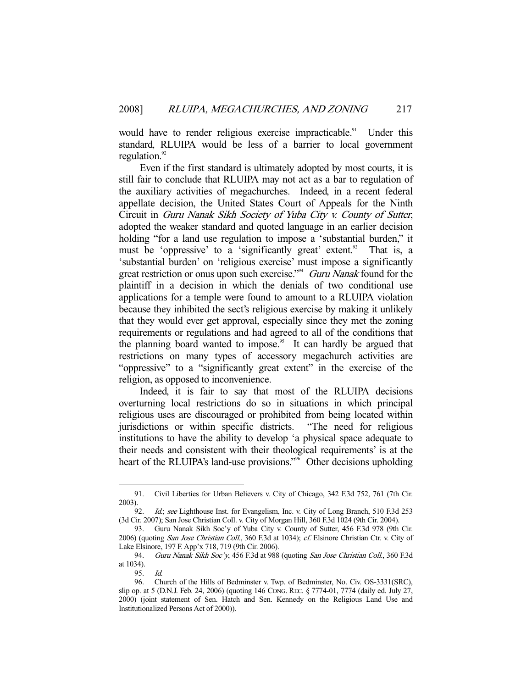would have to render religious exercise impracticable.<sup>91</sup> Under this standard, RLUIPA would be less of a barrier to local government regulation. $92$ 

 Even if the first standard is ultimately adopted by most courts, it is still fair to conclude that RLUIPA may not act as a bar to regulation of the auxiliary activities of megachurches. Indeed, in a recent federal appellate decision, the United States Court of Appeals for the Ninth Circuit in Guru Nanak Sikh Society of Yuba City v. County of Sutter, adopted the weaker standard and quoted language in an earlier decision holding "for a land use regulation to impose a 'substantial burden," it must be 'oppressive' to a 'significantly great' extent.<sup>93</sup> That is, a 'substantial burden' on 'religious exercise' must impose a significantly great restriction or onus upon such exercise."<sup>94</sup> Guru Nanak found for the plaintiff in a decision in which the denials of two conditional use applications for a temple were found to amount to a RLUIPA violation because they inhibited the sect's religious exercise by making it unlikely that they would ever get approval, especially since they met the zoning requirements or regulations and had agreed to all of the conditions that the planning board wanted to impose.<sup>95</sup> It can hardly be argued that restrictions on many types of accessory megachurch activities are "oppressive" to a "significantly great extent" in the exercise of the religion, as opposed to inconvenience.

 Indeed, it is fair to say that most of the RLUIPA decisions overturning local restrictions do so in situations in which principal religious uses are discouraged or prohibited from being located within jurisdictions or within specific districts. "The need for religious institutions to have the ability to develop 'a physical space adequate to their needs and consistent with their theological requirements' is at the heart of the RLUIPA's land-use provisions."<sup>96</sup> Other decisions upholding

 <sup>91.</sup> Civil Liberties for Urban Believers v. City of Chicago, 342 F.3d 752, 761 (7th Cir. 2003).

<sup>92.</sup> *Id.; see Lighthouse Inst. for Evangelism, Inc. v. City of Long Branch, 510 F.3d 253* (3d Cir. 2007); San Jose Christian Coll. v. City of Morgan Hill, 360 F.3d 1024 (9th Cir. 2004).

 <sup>93.</sup> Guru Nanak Sikh Soc'y of Yuba City v. County of Sutter, 456 F.3d 978 (9th Cir. 2006) (quoting San Jose Christian Coll., 360 F.3d at 1034); cf. Elsinore Christian Ctr. v. City of Lake Elsinore, 197 F. App'x 718, 719 (9th Cir. 2006).

<sup>94.</sup> Guru Nanak Sikh Soc'y, 456 F.3d at 988 (quoting San Jose Christian Coll., 360 F.3d at 1034).

 <sup>95.</sup> Id.

 <sup>96.</sup> Church of the Hills of Bedminster v. Twp. of Bedminster, No. Civ. OS-3331(SRC), slip op. at 5 (D.N.J. Feb. 24, 2006) (quoting 146 CONG. REC. § 7774-01, 7774 (daily ed. July 27, 2000) (joint statement of Sen. Hatch and Sen. Kennedy on the Religious Land Use and Institutionalized Persons Act of 2000)).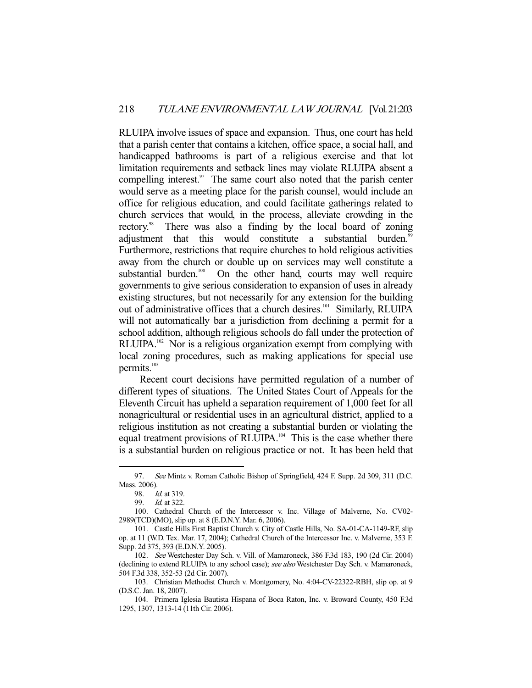RLUIPA involve issues of space and expansion. Thus, one court has held that a parish center that contains a kitchen, office space, a social hall, and handicapped bathrooms is part of a religious exercise and that lot limitation requirements and setback lines may violate RLUIPA absent a compelling interest. $\frac{97}{10}$  The same court also noted that the parish center would serve as a meeting place for the parish counsel, would include an office for religious education, and could facilitate gatherings related to church services that would, in the process, alleviate crowding in the rectory.<sup>98</sup> There was also a finding by the local board of zoning adjustment that this would constitute a substantial burden.<sup>99</sup> Furthermore, restrictions that require churches to hold religious activities away from the church or double up on services may well constitute a substantial burden.<sup>100</sup> On the other hand, courts may well require governments to give serious consideration to expansion of uses in already existing structures, but not necessarily for any extension for the building out of administrative offices that a church desires.<sup>101</sup> Similarly, RLUIPA will not automatically bar a jurisdiction from declining a permit for a school addition, although religious schools do fall under the protection of RLUIPA.<sup>102</sup> Nor is a religious organization exempt from complying with local zoning procedures, such as making applications for special use permits.<sup>103</sup>

 Recent court decisions have permitted regulation of a number of different types of situations. The United States Court of Appeals for the Eleventh Circuit has upheld a separation requirement of 1,000 feet for all nonagricultural or residential uses in an agricultural district, applied to a religious institution as not creating a substantial burden or violating the equal treatment provisions of RLUIPA.<sup>104</sup> This is the case whether there is a substantial burden on religious practice or not. It has been held that

 <sup>97.</sup> See Mintz v. Roman Catholic Bishop of Springfield, 424 F. Supp. 2d 309, 311 (D.C. Mass. 2006).<br>98. *I* 

 $Id.$  at 319.

 <sup>99.</sup> Id. at 322.

 <sup>100.</sup> Cathedral Church of the Intercessor v. Inc. Village of Malverne, No. CV02- 2989(TCD)(MO), slip op. at 8 (E.D.N.Y. Mar. 6, 2006).

 <sup>101.</sup> Castle Hills First Baptist Church v. City of Castle Hills, No. SA-01-CA-1149-RF, slip op. at 11 (W.D. Tex. Mar. 17, 2004); Cathedral Church of the Intercessor Inc. v. Malverne, 353 F. Supp. 2d 375, 393 (E.D.N.Y. 2005).

 <sup>102.</sup> See Westchester Day Sch. v. Vill. of Mamaroneck, 386 F.3d 183, 190 (2d Cir. 2004) (declining to extend RLUIPA to any school case); see also Westchester Day Sch. v. Mamaroneck, 504 F.3d 338, 352-53 (2d Cir. 2007).

 <sup>103.</sup> Christian Methodist Church v. Montgomery, No. 4:04-CV-22322-RBH, slip op. at 9 (D.S.C. Jan. 18, 2007).

 <sup>104.</sup> Primera Iglesia Bautista Hispana of Boca Raton, Inc. v. Broward County, 450 F.3d 1295, 1307, 1313-14 (11th Cir. 2006).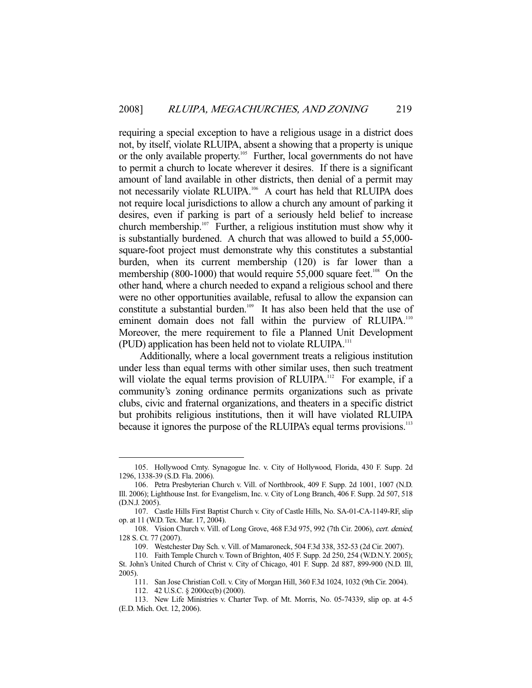requiring a special exception to have a religious usage in a district does not, by itself, violate RLUIPA, absent a showing that a property is unique or the only available property.<sup>105</sup> Further, local governments do not have to permit a church to locate wherever it desires. If there is a significant amount of land available in other districts, then denial of a permit may not necessarily violate RLUIPA.<sup>106</sup> A court has held that RLUIPA does not require local jurisdictions to allow a church any amount of parking it desires, even if parking is part of a seriously held belief to increase church membership. $107$  Further, a religious institution must show why it is substantially burdened. A church that was allowed to build a 55,000 square-foot project must demonstrate why this constitutes a substantial burden, when its current membership (120) is far lower than a membership (800-1000) that would require  $55,000$  square feet.<sup>108</sup> On the other hand, where a church needed to expand a religious school and there were no other opportunities available, refusal to allow the expansion can constitute a substantial burden.<sup>109</sup> It has also been held that the use of eminent domain does not fall within the purview of RLUIPA.<sup>110</sup> Moreover, the mere requirement to file a Planned Unit Development (PUD) application has been held not to violate RLUIPA.111

 Additionally, where a local government treats a religious institution under less than equal terms with other similar uses, then such treatment will violate the equal terms provision of RLUIPA.<sup>112</sup> For example, if a community's zoning ordinance permits organizations such as private clubs, civic and fraternal organizations, and theaters in a specific district but prohibits religious institutions, then it will have violated RLUIPA because it ignores the purpose of the RLUIPA's equal terms provisions.<sup>113</sup>

 <sup>105.</sup> Hollywood Cmty. Synagogue Inc. v. City of Hollywood, Florida, 430 F. Supp. 2d 1296, 1338-39 (S.D. Fla. 2006).

 <sup>106.</sup> Petra Presbyterian Church v. Vill. of Northbrook, 409 F. Supp. 2d 1001, 1007 (N.D. Ill. 2006); Lighthouse Inst. for Evangelism, Inc. v. City of Long Branch, 406 F. Supp. 2d 507, 518 (D.N.J. 2005).

 <sup>107.</sup> Castle Hills First Baptist Church v. City of Castle Hills, No. SA-01-CA-1149-RF, slip op. at 11 (W.D. Tex. Mar. 17, 2004).

 <sup>108.</sup> Vision Church v. Vill. of Long Grove, 468 F.3d 975, 992 (7th Cir. 2006), cert. denied, 128 S. Ct. 77 (2007).

 <sup>109.</sup> Westchester Day Sch. v. Vill. of Mamaroneck, 504 F.3d 338, 352-53 (2d Cir. 2007).

 <sup>110.</sup> Faith Temple Church v. Town of Brighton, 405 F. Supp. 2d 250, 254 (W.D.N.Y. 2005); St. John's United Church of Christ v. City of Chicago, 401 F. Supp. 2d 887, 899-900 (N.D. Ill, 2005).

 <sup>111.</sup> San Jose Christian Coll. v. City of Morgan Hill, 360 F.3d 1024, 1032 (9th Cir. 2004).

 <sup>112. 42</sup> U.S.C. § 2000cc(b) (2000).

 <sup>113.</sup> New Life Ministries v. Charter Twp. of Mt. Morris, No. 05-74339, slip op. at 4-5 (E.D. Mich. Oct. 12, 2006).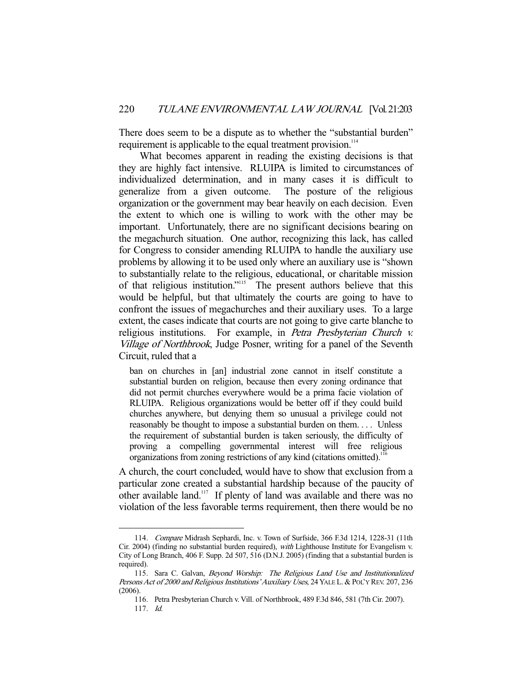There does seem to be a dispute as to whether the "substantial burden" requirement is applicable to the equal treatment provision.<sup>114</sup>

 What becomes apparent in reading the existing decisions is that they are highly fact intensive. RLUIPA is limited to circumstances of individualized determination, and in many cases it is difficult to generalize from a given outcome. The posture of the religious organization or the government may bear heavily on each decision. Even the extent to which one is willing to work with the other may be important. Unfortunately, there are no significant decisions bearing on the megachurch situation. One author, recognizing this lack, has called for Congress to consider amending RLUIPA to handle the auxiliary use problems by allowing it to be used only where an auxiliary use is "shown to substantially relate to the religious, educational, or charitable mission of that religious institution."115 The present authors believe that this would be helpful, but that ultimately the courts are going to have to confront the issues of megachurches and their auxiliary uses. To a large extent, the cases indicate that courts are not going to give carte blanche to religious institutions. For example, in Petra Presbyterian Church v. Village of Northbrook, Judge Posner, writing for a panel of the Seventh Circuit, ruled that a

ban on churches in [an] industrial zone cannot in itself constitute a substantial burden on religion, because then every zoning ordinance that did not permit churches everywhere would be a prima facie violation of RLUIPA. Religious organizations would be better off if they could build churches anywhere, but denying them so unusual a privilege could not reasonably be thought to impose a substantial burden on them.... Unless the requirement of substantial burden is taken seriously, the difficulty of proving a compelling governmental interest will free religious organizations from zoning restrictions of any kind (citations omitted).<sup>116</sup>

A church, the court concluded, would have to show that exclusion from a particular zone created a substantial hardship because of the paucity of other available land.117 If plenty of land was available and there was no violation of the less favorable terms requirement, then there would be no

 <sup>114.</sup> Compare Midrash Sephardi, Inc. v. Town of Surfside, 366 F.3d 1214, 1228-31 (11th Cir. 2004) (finding no substantial burden required), with Lighthouse Institute for Evangelism v. City of Long Branch, 406 F. Supp. 2d 507, 516 (D.N.J. 2005) (finding that a substantial burden is required).

 <sup>115.</sup> Sara C. Galvan, Beyond Worship: The Religious Land Use and Institutionalized Persons Act of 2000 and Religious Institutions' Auxiliary Uses, 24 YALE L. & POL'Y REV. 207, 236 (2006).

 <sup>116.</sup> Petra Presbyterian Church v. Vill. of Northbrook, 489 F.3d 846, 581 (7th Cir. 2007). 117. Id.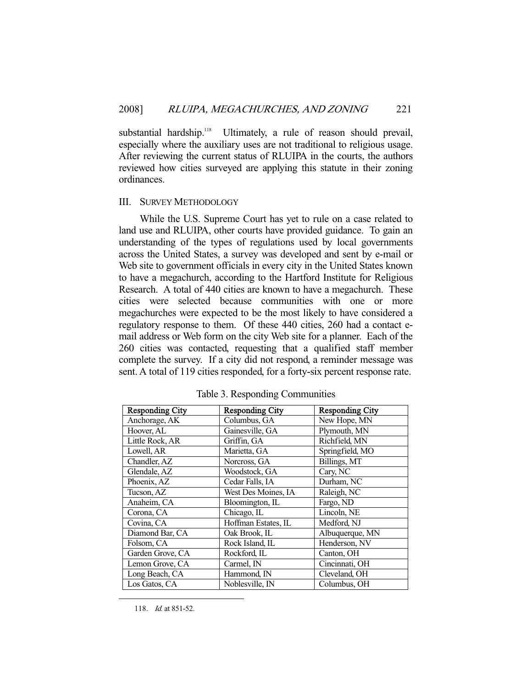substantial hardship.<sup>118</sup> Ultimately, a rule of reason should prevail, especially where the auxiliary uses are not traditional to religious usage. After reviewing the current status of RLUIPA in the courts, the authors reviewed how cities surveyed are applying this statute in their zoning ordinances.

#### III. SURVEY METHODOLOGY

 While the U.S. Supreme Court has yet to rule on a case related to land use and RLUIPA, other courts have provided guidance. To gain an understanding of the types of regulations used by local governments across the United States, a survey was developed and sent by e-mail or Web site to government officials in every city in the United States known to have a megachurch, according to the Hartford Institute for Religious Research. A total of 440 cities are known to have a megachurch. These cities were selected because communities with one or more megachurches were expected to be the most likely to have considered a regulatory response to them. Of these 440 cities, 260 had a contact email address or Web form on the city Web site for a planner. Each of the 260 cities was contacted, requesting that a qualified staff member complete the survey. If a city did not respond, a reminder message was sent. A total of 119 cities responded, for a forty-six percent response rate.

| <b>Responding City</b> | <b>Responding City</b> | <b>Responding City</b> |
|------------------------|------------------------|------------------------|
| Anchorage, AK          | Columbus, GA           | New Hope, MN           |
| Hoover, AL             | Gainesville, GA        | Plymouth, MN           |
| Little Rock, AR        | Griffin, GA            | Richfield, MN          |
| Lowell, AR             | Marietta, GA           | Springfield, MO        |
| Chandler, AZ           | Norcross, GA           | Billings, MT           |
| Glendale, AZ           | Woodstock, GA          | Cary, NC               |
| Phoenix, AZ            | Cedar Falls, IA        | Durham, NC             |
| Tucson, AZ             | West Des Moines, IA    | Raleigh, NC            |
| Anaheim, CA            | Bloomington, IL        | Fargo, ND              |
| Corona, CA             | Chicago, IL            | Lincoln, NE            |
| Covina, CA             | Hoffman Estates, IL    | Medford, NJ            |
| Diamond Bar, CA        | Oak Brook, IL          | Albuquerque, MN        |
| Folsom, CA             | Rock Island, IL        | Henderson, NV          |
| Garden Grove, CA       | Rockford, IL           | Canton, OH             |
| Lemon Grove, CA        | Carmel, IN             | Cincinnati, OH         |
| Long Beach, CA         | Hammond, IN            | Cleveland, OH          |
| Los Gatos, CA          | Noblesville, IN        | Columbus, OH           |

Table 3. Responding Communities

118. Id. at 851-52.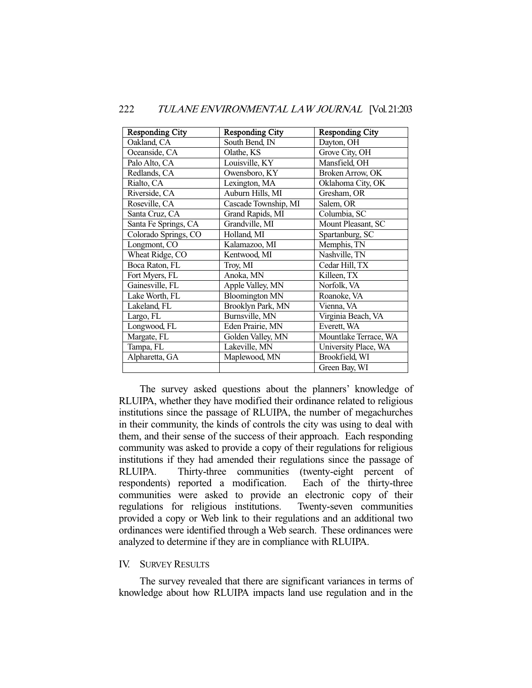| <b>Responding City</b> | <b>Responding City</b> | <b>Responding City</b> |
|------------------------|------------------------|------------------------|
| Oakland, CA            | South Bend, IN         | Dayton, OH             |
| Oceanside, CA          | Olathe, KS             | Grove City, OH         |
| Palo Alto, CA          | Louisville, KY         | Mansfield, OH          |
| Redlands, CA           | Owensboro, KY          | Broken Arrow, OK       |
| Rialto, CA             | Lexington, MA          | Oklahoma City, OK      |
| Riverside, CA          | Auburn Hills, MI       | Gresham, OR            |
| Roseville, CA          | Cascade Township, MI   | Salem, OR              |
| Santa Cruz, CA         | Grand Rapids, MI       | Columbia, SC           |
| Santa Fe Springs, CA   | Grandville, MI         | Mount Pleasant, SC     |
| Colorado Springs, CO   | Holland, MI            | Spartanburg, SC        |
| Longmont, CO           | Kalamazoo, MI          | Memphis, TN            |
| Wheat Ridge, CO        | Kentwood, MI           | Nashville, TN          |
| Boca Raton, FL         | Troy, MI               | Cedar Hill, TX         |
| Fort Myers, FL         | Anoka, MN              | Killeen, TX            |
| Gainesville, FL        | Apple Valley, MN       | Norfolk, VA            |
| Lake Worth, FL         | <b>Bloomington MN</b>  | Roanoke, VA            |
| Lakeland, FL           | Brooklyn Park, MN      | Vienna, VA             |
| Largo, FL              | Burnsville, MN         | Virginia Beach, VA     |
| Longwood, FL           | Eden Prairie, MN       | Everett, WA            |
| Margate, FL            | Golden Valley, MN      | Mountlake Terrace, WA  |
| Tampa, FL              | Lakeville, MN          | University Place, WA   |
| Alpharetta, GA         | Maplewood, MN          | Brookfield, WI         |
|                        |                        | Green Bay, WI          |

 The survey asked questions about the planners' knowledge of RLUIPA, whether they have modified their ordinance related to religious institutions since the passage of RLUIPA, the number of megachurches in their community, the kinds of controls the city was using to deal with them, and their sense of the success of their approach. Each responding community was asked to provide a copy of their regulations for religious institutions if they had amended their regulations since the passage of RLUIPA. Thirty-three communities (twenty-eight percent of respondents) reported a modification. Each of the thirty-three communities were asked to provide an electronic copy of their regulations for religious institutions. Twenty-seven communities provided a copy or Web link to their regulations and an additional two ordinances were identified through a Web search. These ordinances were analyzed to determine if they are in compliance with RLUIPA.

#### IV. SURVEY RESULTS

 The survey revealed that there are significant variances in terms of knowledge about how RLUIPA impacts land use regulation and in the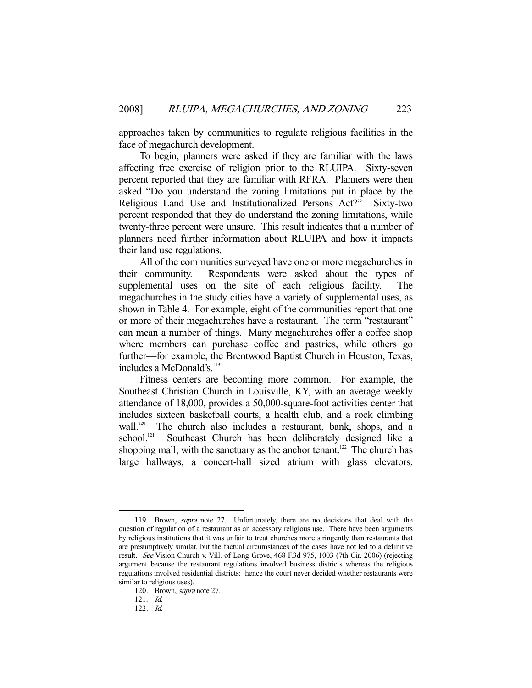approaches taken by communities to regulate religious facilities in the face of megachurch development.

 To begin, planners were asked if they are familiar with the laws affecting free exercise of religion prior to the RLUIPA. Sixty-seven percent reported that they are familiar with RFRA. Planners were then asked "Do you understand the zoning limitations put in place by the Religious Land Use and Institutionalized Persons Act?" Sixty-two percent responded that they do understand the zoning limitations, while twenty-three percent were unsure. This result indicates that a number of planners need further information about RLUIPA and how it impacts their land use regulations.

 All of the communities surveyed have one or more megachurches in their community. Respondents were asked about the types of supplemental uses on the site of each religious facility. The megachurches in the study cities have a variety of supplemental uses, as shown in Table 4. For example, eight of the communities report that one or more of their megachurches have a restaurant. The term "restaurant" can mean a number of things. Many megachurches offer a coffee shop where members can purchase coffee and pastries, while others go further—for example, the Brentwood Baptist Church in Houston, Texas, includes a McDonald's.<sup>119</sup>

 Fitness centers are becoming more common. For example, the Southeast Christian Church in Louisville, KY, with an average weekly attendance of 18,000, provides a 50,000-square-foot activities center that includes sixteen basketball courts, a health club, and a rock climbing wall.<sup>120</sup> The church also includes a restaurant, bank, shops, and a school.<sup>121</sup> Southeast Church has been deliberately designed like a shopping mall, with the sanctuary as the anchor tenant.<sup>122</sup> The church has large hallways, a concert-hall sized atrium with glass elevators,

 <sup>119.</sup> Brown, supra note 27. Unfortunately, there are no decisions that deal with the question of regulation of a restaurant as an accessory religious use. There have been arguments by religious institutions that it was unfair to treat churches more stringently than restaurants that are presumptively similar, but the factual circumstances of the cases have not led to a definitive result. See Vision Church v. Vill. of Long Grove, 468 F.3d 975, 1003 (7th Cir. 2006) (rejecting argument because the restaurant regulations involved business districts whereas the religious regulations involved residential districts: hence the court never decided whether restaurants were similar to religious uses).

 <sup>120.</sup> Brown, supra note 27.

 <sup>121.</sup> Id.

 <sup>122.</sup> Id.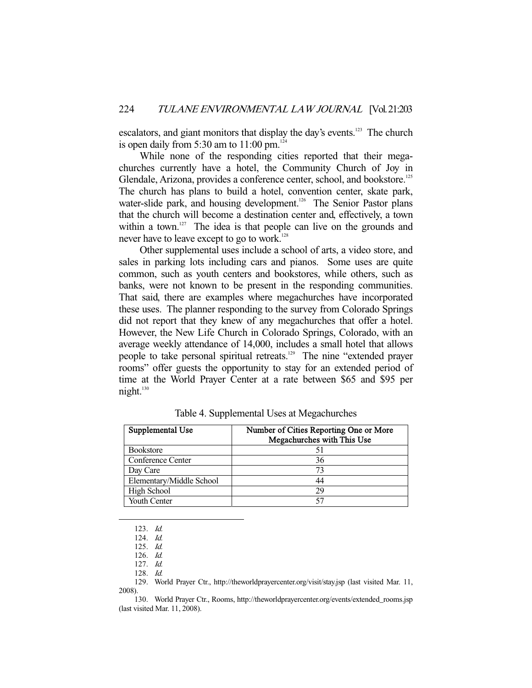escalators, and giant monitors that display the day's events.<sup>123</sup> The church is open daily from 5:30 am to  $11:00$  pm.<sup>124</sup>

 While none of the responding cities reported that their megachurches currently have a hotel, the Community Church of Joy in Glendale, Arizona, provides a conference center, school, and bookstore.<sup>125</sup> The church has plans to build a hotel, convention center, skate park, water-slide park, and housing development.<sup>126</sup> The Senior Pastor plans that the church will become a destination center and, effectively, a town within a town. $127$  The idea is that people can live on the grounds and never have to leave except to go to work.<sup>128</sup>

 Other supplemental uses include a school of arts, a video store, and sales in parking lots including cars and pianos. Some uses are quite common, such as youth centers and bookstores, while others, such as banks, were not known to be present in the responding communities. That said, there are examples where megachurches have incorporated these uses. The planner responding to the survey from Colorado Springs did not report that they knew of any megachurches that offer a hotel. However, the New Life Church in Colorado Springs, Colorado, with an average weekly attendance of 14,000, includes a small hotel that allows people to take personal spiritual retreats.<sup>129</sup> The nine "extended prayer rooms" offer guests the opportunity to stay for an extended period of time at the World Prayer Center at a rate between \$65 and \$95 per  $night.<sup>130</sup>$ 

| Supplemental Use         | Number of Cities Reporting One or More<br>Megachurches with This Use |
|--------------------------|----------------------------------------------------------------------|
| <b>Bookstore</b>         |                                                                      |
| Conference Center        | 36                                                                   |
| Day Care                 |                                                                      |
| Elementary/Middle School | 44                                                                   |
| <b>High School</b>       | 29                                                                   |
| Youth Center             |                                                                      |

Table 4. Supplemental Uses at Megachurches

-

 130. World Prayer Ctr., Rooms, http://theworldprayercenter.org/events/extended\_rooms.jsp (last visited Mar. 11, 2008).

 <sup>123.</sup> Id.

 <sup>124.</sup> Id.

 <sup>125.</sup> Id.

 <sup>126.</sup> Id.

 <sup>127.</sup> Id.

 <sup>128.</sup> Id.

 <sup>129.</sup> World Prayer Ctr., http://theworldprayercenter.org/visit/stay.jsp (last visited Mar. 11, 2008).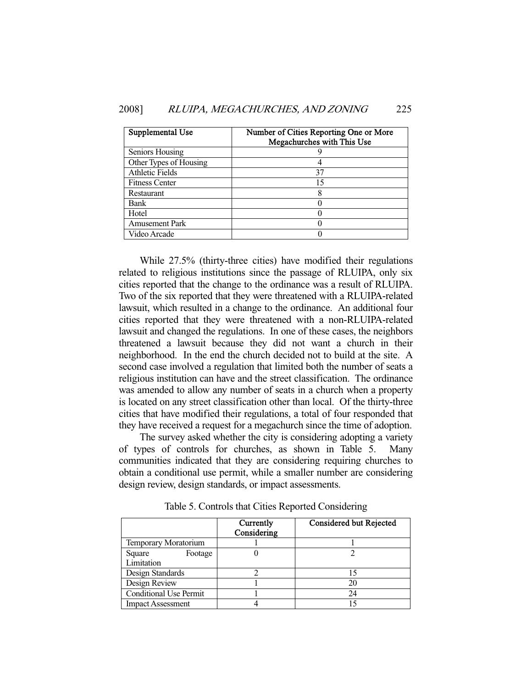| Supplemental Use       | Number of Cities Reporting One or More<br>Megachurches with This Use |
|------------------------|----------------------------------------------------------------------|
| Seniors Housing        |                                                                      |
| Other Types of Housing |                                                                      |
| <b>Athletic Fields</b> | 37                                                                   |
| <b>Fitness Center</b>  | 15                                                                   |
| Restaurant             | 8                                                                    |
| <b>Bank</b>            |                                                                      |
| Hotel                  |                                                                      |
| <b>Amusement Park</b>  |                                                                      |
| Video Arcade           |                                                                      |

 While 27.5% (thirty-three cities) have modified their regulations related to religious institutions since the passage of RLUIPA, only six cities reported that the change to the ordinance was a result of RLUIPA. Two of the six reported that they were threatened with a RLUIPA-related lawsuit, which resulted in a change to the ordinance. An additional four cities reported that they were threatened with a non-RLUIPA-related lawsuit and changed the regulations. In one of these cases, the neighbors threatened a lawsuit because they did not want a church in their neighborhood. In the end the church decided not to build at the site. A second case involved a regulation that limited both the number of seats a religious institution can have and the street classification. The ordinance was amended to allow any number of seats in a church when a property is located on any street classification other than local. Of the thirty-three cities that have modified their regulations, a total of four responded that they have received a request for a megachurch since the time of adoption.

 The survey asked whether the city is considering adopting a variety of types of controls for churches, as shown in Table 5. Many communities indicated that they are considering requiring churches to obtain a conditional use permit, while a smaller number are considering design review, design standards, or impact assessments.

|                                 | Currently<br>Considering | <b>Considered but Rejected</b> |
|---------------------------------|--------------------------|--------------------------------|
| Temporary Moratorium            |                          |                                |
| Footage<br>Square<br>Limitation |                          |                                |
| Design Standards                |                          |                                |
| Design Review                   |                          | 20                             |
| <b>Conditional Use Permit</b>   |                          | 24                             |
| <b>Impact Assessment</b>        |                          |                                |

Table 5. Controls that Cities Reported Considering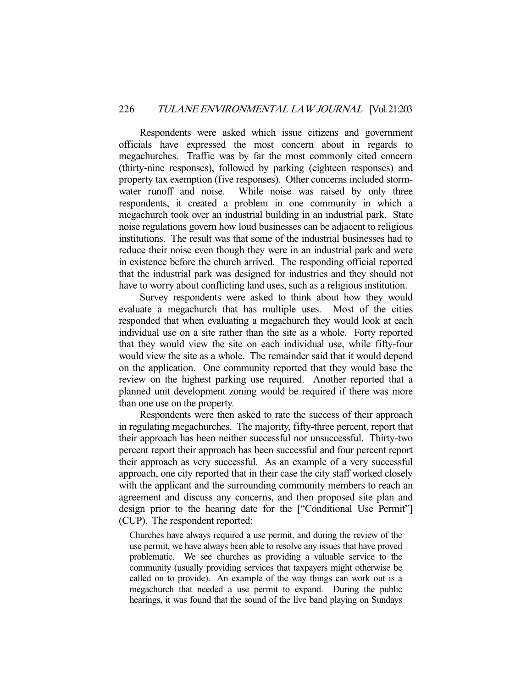Respondents were asked which issue citizens and government officials have expressed the most concern about in regards to megachurches. Traffic was by far the most commonly cited concern (thirty-nine responses), followed by parking (eighteen responses) and property tax exemption (five responses). Other concerns included stormwater runoff and noise. While noise was raised by only three respondents, it created a problem in one community in which a megachurch took over an industrial building in an industrial park. State noise regulations govern how loud businesses can be adjacent to religious institutions. The result was that some of the industrial businesses had to reduce their noise even though they were in an industrial park and were in existence before the church arrived. The responding official reported that the industrial park was designed for industries and they should not have to worry about conflicting land uses, such as a religious institution.

 Survey respondents were asked to think about how they would evaluate a megachurch that has multiple uses. Most of the cities responded that when evaluating a megachurch they would look at each individual use on a site rather than the site as a whole. Forty reported that they would view the site on each individual use, while fifty-four would view the site as a whole. The remainder said that it would depend on the application. One community reported that they would base the review on the highest parking use required. Another reported that a planned unit development zoning would be required if there was more than one use on the property.

 Respondents were then asked to rate the success of their approach in regulating megachurches. The majority, fifty-three percent, report that their approach has been neither successful nor unsuccessful. Thirty-two percent report their approach has been successful and four percent report their approach as very successful. As an example of a very successful approach, one city reported that in their case the city staff worked closely with the applicant and the surrounding community members to reach an agreement and discuss any concerns, and then proposed site plan and design prior to the hearing date for the ["Conditional Use Permit"] (CUP). The respondent reported:

Churches have always required a use permit, and during the review of the use permit, we have always been able to resolve any issues that have proved problematic. We see churches as providing a valuable service to the community (usually providing services that taxpayers might otherwise be called on to provide). An example of the way things can work out is a megachurch that needed a use permit to expand. During the public hearings, it was found that the sound of the live band playing on Sundays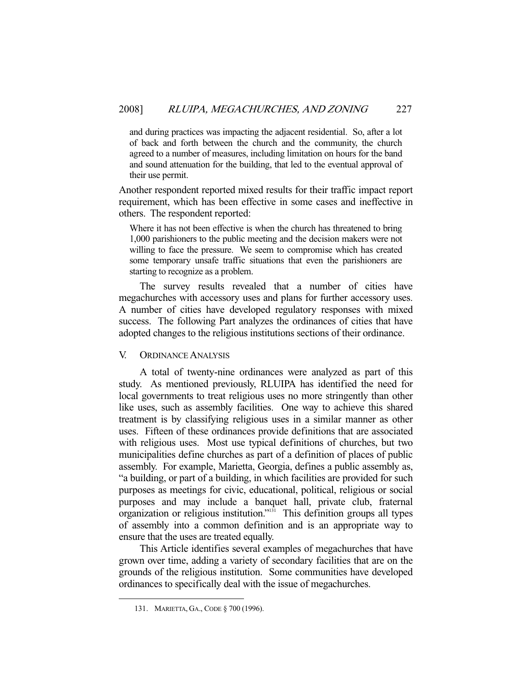and during practices was impacting the adjacent residential. So, after a lot of back and forth between the church and the community, the church agreed to a number of measures, including limitation on hours for the band and sound attenuation for the building, that led to the eventual approval of their use permit.

Another respondent reported mixed results for their traffic impact report requirement, which has been effective in some cases and ineffective in others. The respondent reported:

Where it has not been effective is when the church has threatened to bring 1,000 parishioners to the public meeting and the decision makers were not willing to face the pressure. We seem to compromise which has created some temporary unsafe traffic situations that even the parishioners are starting to recognize as a problem.

 The survey results revealed that a number of cities have megachurches with accessory uses and plans for further accessory uses. A number of cities have developed regulatory responses with mixed success. The following Part analyzes the ordinances of cities that have adopted changes to the religious institutions sections of their ordinance.

#### V. ORDINANCE ANALYSIS

 A total of twenty-nine ordinances were analyzed as part of this study. As mentioned previously, RLUIPA has identified the need for local governments to treat religious uses no more stringently than other like uses, such as assembly facilities. One way to achieve this shared treatment is by classifying religious uses in a similar manner as other uses. Fifteen of these ordinances provide definitions that are associated with religious uses. Most use typical definitions of churches, but two municipalities define churches as part of a definition of places of public assembly. For example, Marietta, Georgia, defines a public assembly as, "a building, or part of a building, in which facilities are provided for such purposes as meetings for civic, educational, political, religious or social purposes and may include a banquet hall, private club, fraternal organization or religious institution."131 This definition groups all types of assembly into a common definition and is an appropriate way to ensure that the uses are treated equally.

 This Article identifies several examples of megachurches that have grown over time, adding a variety of secondary facilities that are on the grounds of the religious institution. Some communities have developed ordinances to specifically deal with the issue of megachurches.

 <sup>131.</sup> MARIETTA, GA., CODE § 700 (1996).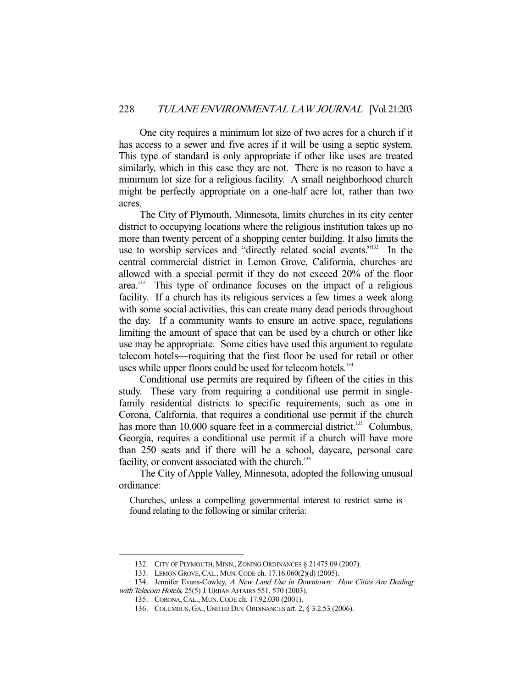One city requires a minimum lot size of two acres for a church if it has access to a sewer and five acres if it will be using a septic system. This type of standard is only appropriate if other like uses are treated similarly, which in this case they are not. There is no reason to have a minimum lot size for a religious facility. A small neighborhood church might be perfectly appropriate on a one-half acre lot, rather than two acres.

 The City of Plymouth, Minnesota, limits churches in its city center district to occupying locations where the religious institution takes up no more than twenty percent of a shopping center building. It also limits the use to worship services and "directly related social events."132 In the central commercial district in Lemon Grove, California, churches are allowed with a special permit if they do not exceed 20% of the floor area.<sup>133</sup> This type of ordinance focuses on the impact of a religious facility. If a church has its religious services a few times a week along with some social activities, this can create many dead periods throughout the day. If a community wants to ensure an active space, regulations limiting the amount of space that can be used by a church or other like use may be appropriate. Some cities have used this argument to regulate telecom hotels—requiring that the first floor be used for retail or other uses while upper floors could be used for telecom hotels.<sup>134</sup>

 Conditional use permits are required by fifteen of the cities in this study. These vary from requiring a conditional use permit in singlefamily residential districts to specific requirements, such as one in Corona, California, that requires a conditional use permit if the church has more than  $10,000$  square feet in a commercial district.<sup>135</sup> Columbus, Georgia, requires a conditional use permit if a church will have more than 250 seats and if there will be a school, daycare, personal care facility, or convent associated with the church.<sup>136</sup>

 The City of Apple Valley, Minnesota, adopted the following unusual ordinance:

Churches, unless a compelling governmental interest to restrict same is found relating to the following or similar criteria:

 <sup>132.</sup> CITY OF PLYMOUTH, MINN., ZONING ORDINANCES § 21475.09 (2007).

 <sup>133.</sup> LEMON GROVE,CAL., MUN.CODE ch. 17.16.060(2)(d) (2005).

<sup>134.</sup> Jennifer Evans-Cowley, A New Land Use in Downtown: How Cities Are Dealing

with Telecom Hotels, 25(5) J. URBAN AFFAIRS 551, 570 (2003). 135. CORONA,CAL., MUN.CODE ch. 17.92.030 (2001).

 <sup>136.</sup> COLUMBUS, GA., UNITED DEV. ORDINANCES art. 2, § 3.2.53 (2006).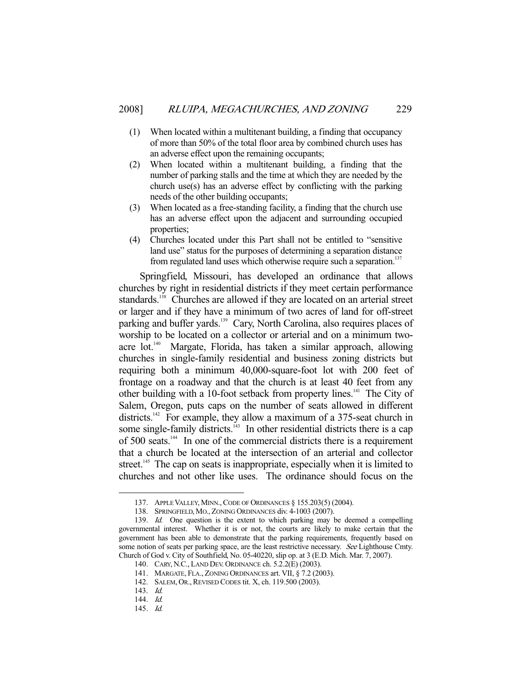- (1) When located within a multitenant building, a finding that occupancy of more than 50% of the total floor area by combined church uses has an adverse effect upon the remaining occupants;
- (2) When located within a multitenant building, a finding that the number of parking stalls and the time at which they are needed by the church use(s) has an adverse effect by conflicting with the parking needs of the other building occupants;
- (3) When located as a free-standing facility, a finding that the church use has an adverse effect upon the adjacent and surrounding occupied properties;
- (4) Churches located under this Part shall not be entitled to "sensitive land use" status for the purposes of determining a separation distance from regulated land uses which otherwise require such a separation.<sup>137</sup>

 Springfield, Missouri, has developed an ordinance that allows churches by right in residential districts if they meet certain performance standards.<sup>138</sup> Churches are allowed if they are located on an arterial street or larger and if they have a minimum of two acres of land for off-street parking and buffer yards.<sup>139</sup> Cary, North Carolina, also requires places of worship to be located on a collector or arterial and on a minimum twoacre lot.<sup>140</sup> Margate, Florida, has taken a similar approach, allowing churches in single-family residential and business zoning districts but requiring both a minimum 40,000-square-foot lot with 200 feet of frontage on a roadway and that the church is at least 40 feet from any other building with a 10-foot setback from property lines.<sup>141</sup> The City of Salem, Oregon, puts caps on the number of seats allowed in different districts.<sup>142</sup> For example, they allow a maximum of a 375-seat church in some single-family districts.<sup>143</sup> In other residential districts there is a cap of 500 seats.144 In one of the commercial districts there is a requirement that a church be located at the intersection of an arterial and collector street.<sup>145</sup> The cap on seats is inappropriate, especially when it is limited to churches and not other like uses. The ordinance should focus on the

 <sup>137.</sup> APPLE VALLEY, MINN.,CODE OF ORDINANCES § 155.203(5) (2004).

 <sup>138.</sup> SPRINGFIELD, MO., ZONING ORDINANCES div. 4-1003 (2007).

<sup>139.</sup> Id. One question is the extent to which parking may be deemed a compelling governmental interest. Whether it is or not, the courts are likely to make certain that the government has been able to demonstrate that the parking requirements, frequently based on some notion of seats per parking space, are the least restrictive necessary. See Lighthouse Cmty. Church of God v. City of Southfield, No. 05-40220, slip op. at 3 (E.D. Mich. Mar. 7, 2007).

 <sup>140.</sup> CARY, N.C., LAND DEV. ORDINANCE ch. 5.2.2(E) (2003).

 <sup>141.</sup> MARGATE, FLA., ZONING ORDINANCES art. VII, § 7.2 (2003).

 <sup>142.</sup> SALEM, OR.,REVISED CODES tit. X, ch. 119.500 (2003).

 <sup>143.</sup> Id.

 <sup>144.</sup> Id.

 <sup>145.</sup> Id.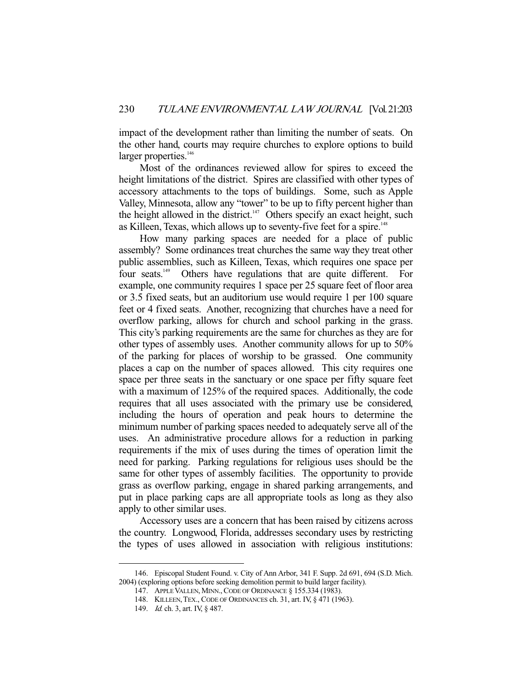impact of the development rather than limiting the number of seats. On the other hand, courts may require churches to explore options to build larger properties.<sup>146</sup>

 Most of the ordinances reviewed allow for spires to exceed the height limitations of the district. Spires are classified with other types of accessory attachments to the tops of buildings. Some, such as Apple Valley, Minnesota, allow any "tower" to be up to fifty percent higher than the height allowed in the district.<sup>147</sup> Others specify an exact height, such as Killeen, Texas, which allows up to seventy-five feet for a spire.<sup>148</sup>

 How many parking spaces are needed for a place of public assembly? Some ordinances treat churches the same way they treat other public assemblies, such as Killeen, Texas, which requires one space per four seats.149 Others have regulations that are quite different. For example, one community requires 1 space per 25 square feet of floor area or 3.5 fixed seats, but an auditorium use would require 1 per 100 square feet or 4 fixed seats. Another, recognizing that churches have a need for overflow parking, allows for church and school parking in the grass. This city's parking requirements are the same for churches as they are for other types of assembly uses. Another community allows for up to 50% of the parking for places of worship to be grassed. One community places a cap on the number of spaces allowed. This city requires one space per three seats in the sanctuary or one space per fifty square feet with a maximum of 125% of the required spaces. Additionally, the code requires that all uses associated with the primary use be considered, including the hours of operation and peak hours to determine the minimum number of parking spaces needed to adequately serve all of the uses. An administrative procedure allows for a reduction in parking requirements if the mix of uses during the times of operation limit the need for parking. Parking regulations for religious uses should be the same for other types of assembly facilities. The opportunity to provide grass as overflow parking, engage in shared parking arrangements, and put in place parking caps are all appropriate tools as long as they also apply to other similar uses.

 Accessory uses are a concern that has been raised by citizens across the country. Longwood, Florida, addresses secondary uses by restricting the types of uses allowed in association with religious institutions:

 <sup>146.</sup> Episcopal Student Found. v. City of Ann Arbor, 341 F. Supp. 2d 691, 694 (S.D. Mich. 2004) (exploring options before seeking demolition permit to build larger facility).

 <sup>147.</sup> APPLE VALLEN, MINN.,CODE OF ORDINANCE § 155.334 (1983).

 <sup>148.</sup> KILLEEN,TEX., CODE OF ORDINANCES ch. 31, art. IV, § 471 (1963).

<sup>149.</sup> *Id.* ch. 3, art. IV, § 487.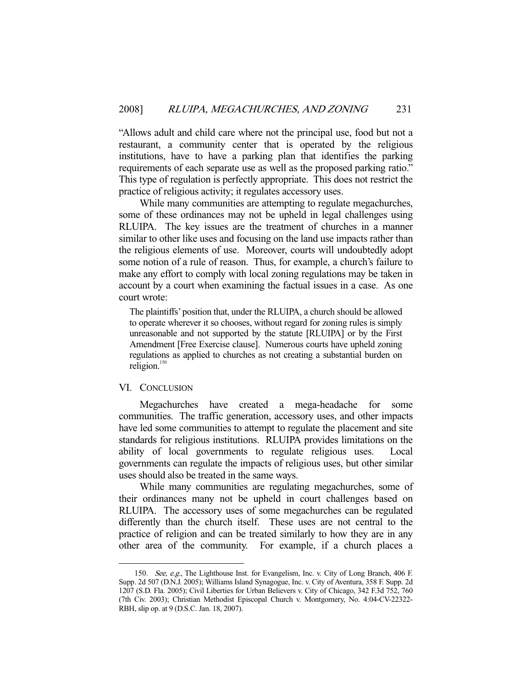"Allows adult and child care where not the principal use, food but not a restaurant, a community center that is operated by the religious institutions, have to have a parking plan that identifies the parking requirements of each separate use as well as the proposed parking ratio." This type of regulation is perfectly appropriate. This does not restrict the practice of religious activity; it regulates accessory uses.

 While many communities are attempting to regulate megachurches, some of these ordinances may not be upheld in legal challenges using RLUIPA. The key issues are the treatment of churches in a manner similar to other like uses and focusing on the land use impacts rather than the religious elements of use. Moreover, courts will undoubtedly adopt some notion of a rule of reason. Thus, for example, a church's failure to make any effort to comply with local zoning regulations may be taken in account by a court when examining the factual issues in a case. As one court wrote:

The plaintiffs' position that, under the RLUIPA, a church should be allowed to operate wherever it so chooses, without regard for zoning rules is simply unreasonable and not supported by the statute [RLUIPA] or by the First Amendment [Free Exercise clause]. Numerous courts have upheld zoning regulations as applied to churches as not creating a substantial burden on religion. $150$ 

#### VI. CONCLUSION

-

 Megachurches have created a mega-headache for some communities. The traffic generation, accessory uses, and other impacts have led some communities to attempt to regulate the placement and site standards for religious institutions. RLUIPA provides limitations on the ability of local governments to regulate religious uses. Local governments can regulate the impacts of religious uses, but other similar uses should also be treated in the same ways.

 While many communities are regulating megachurches, some of their ordinances many not be upheld in court challenges based on RLUIPA. The accessory uses of some megachurches can be regulated differently than the church itself. These uses are not central to the practice of religion and can be treated similarly to how they are in any other area of the community. For example, if a church places a

<sup>150.</sup> See, e.g., The Lighthouse Inst. for Evangelism, Inc. v. City of Long Branch, 406 F. Supp. 2d 507 (D.N.J. 2005); Williams Island Synagogue, Inc. v. City of Aventura, 358 F. Supp. 2d 1207 (S.D. Fla. 2005); Civil Liberties for Urban Believers v. City of Chicago, 342 F.3d 752, 760 (7th Civ. 2003); Christian Methodist Episcopal Church v. Montgomery, No. 4:04-CV-22322- RBH, slip op. at 9 (D.S.C. Jan. 18, 2007).